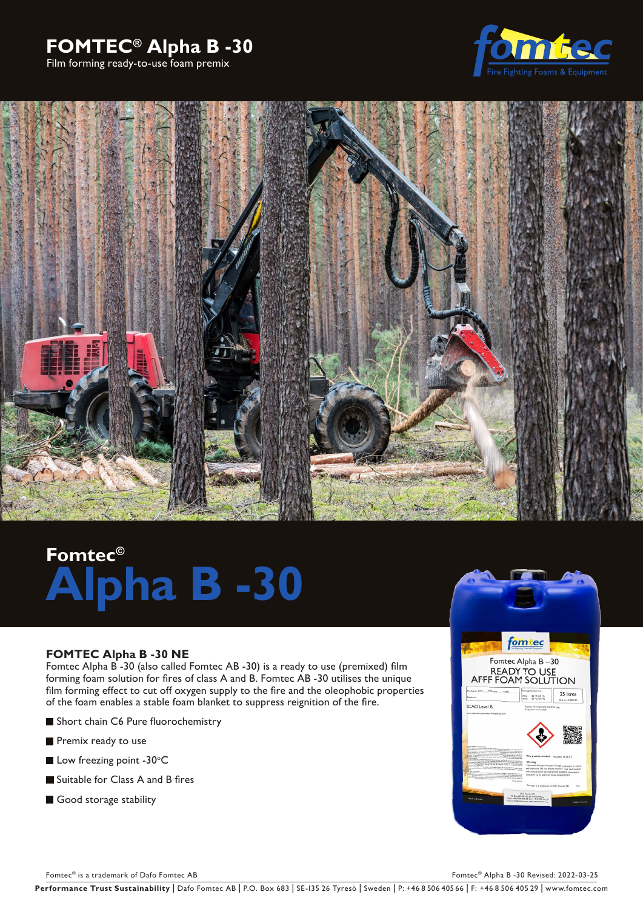# **FOMTEC® Alpha B -30**

Film forming ready-to-use foam premix





# **Fomtec© Alpha B -30**

### **FOMTEC Alpha B -30 NE**

Fomtec Alpha B -30 (also called Fomtec AB -30) is a ready to use (premixed) film forming foam solution for fires of class A and B. Fomtec AB -30 utilises the unique film forming effect to cut off oxygen supply to the fire and the oleophobic properties of the foam enables a stable foam blanket to suppress reignition of the fire.

- Short chain C6 Pure fluorochemistry
- Premix ready to use
- Low freezing point -30 $\degree$ C
- Suitable for Class A and B fires
- Good storage stability



Fomtec® is a trademark of Dafo Fomtec AB Fomtec® Alpha B -30 Revised: 2022-03-25

Performance Trust Sustainability | Dafo Fomtec AB | P.O. Box 683 | SE-135 26 Tyresö | Sweden | P: +46 8 506 405 66 | F: +46 8 506 405 29 | www.fomtec.com